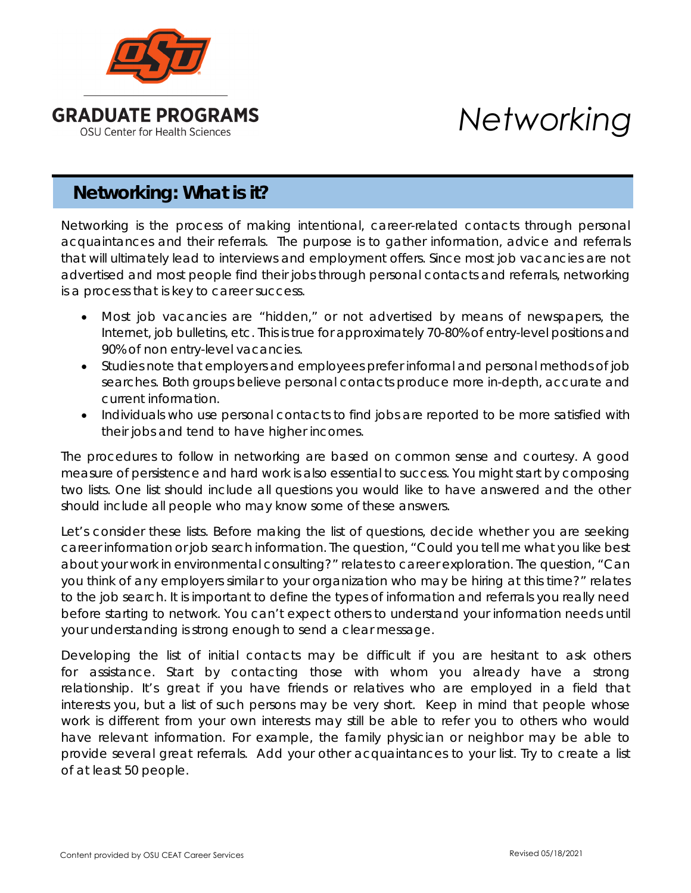

# *Networking*

## **Networking: What is it?**

Networking is the process of making intentional, career-related contacts through personal acquaintances and their referrals. The purpose is to gather information, advice and referrals that will ultimately lead to interviews and employment offers. Since most job vacancies are not advertised and most people find their jobs through personal contacts and referrals, networking is a process that is key to career success.

- Most job vacancies are "hidden," or not advertised by means of newspapers, the Internet, job bulletins, etc. This is true for approximately 70-80% of entry-level positions and 90% of non entry-level vacancies.
- Studies note that employers and employees prefer informal and personal methods of job searches. Both groups believe personal contacts produce more in-depth, accurate and current information.
- Individuals who use personal contacts to find jobs are reported to be more satisfied with their jobs and tend to have higher incomes.

The procedures to follow in networking are based on common sense and courtesy. A good measure of persistence and hard work is also essential to success. You might start by composing two lists. One list should include all questions you would like to have answered and the other should include all people who may know some of these answers.

Let's consider these lists. Before making the list of questions, decide whether you are seeking career information or job search information. The question, "Could you tell me what you like best about your work in environmental consulting?" relates to career exploration. The question, "Can you think of any employers similar to your organization who may be hiring at this time?" relates to the job search. It is important to define the types of information and referrals you really need before starting to network. You can't expect others to understand your information needs until your understanding is strong enough to send a clear message.

Developing the list of initial contacts may be difficult if you are hesitant to ask others for assistance. Start by contacting those with whom you already have a strong relationship. It's great if you have friends or relatives who are employed in a field that interests you, but a list of such persons may be very short. Keep in mind that people whose work is different from your own interests may still be able to refer you to others who would have relevant information. For example, the family physician or neighbor may be able to provide several great referrals. Add your other acquaintances to your list. Try to create a list of at least 50 people.